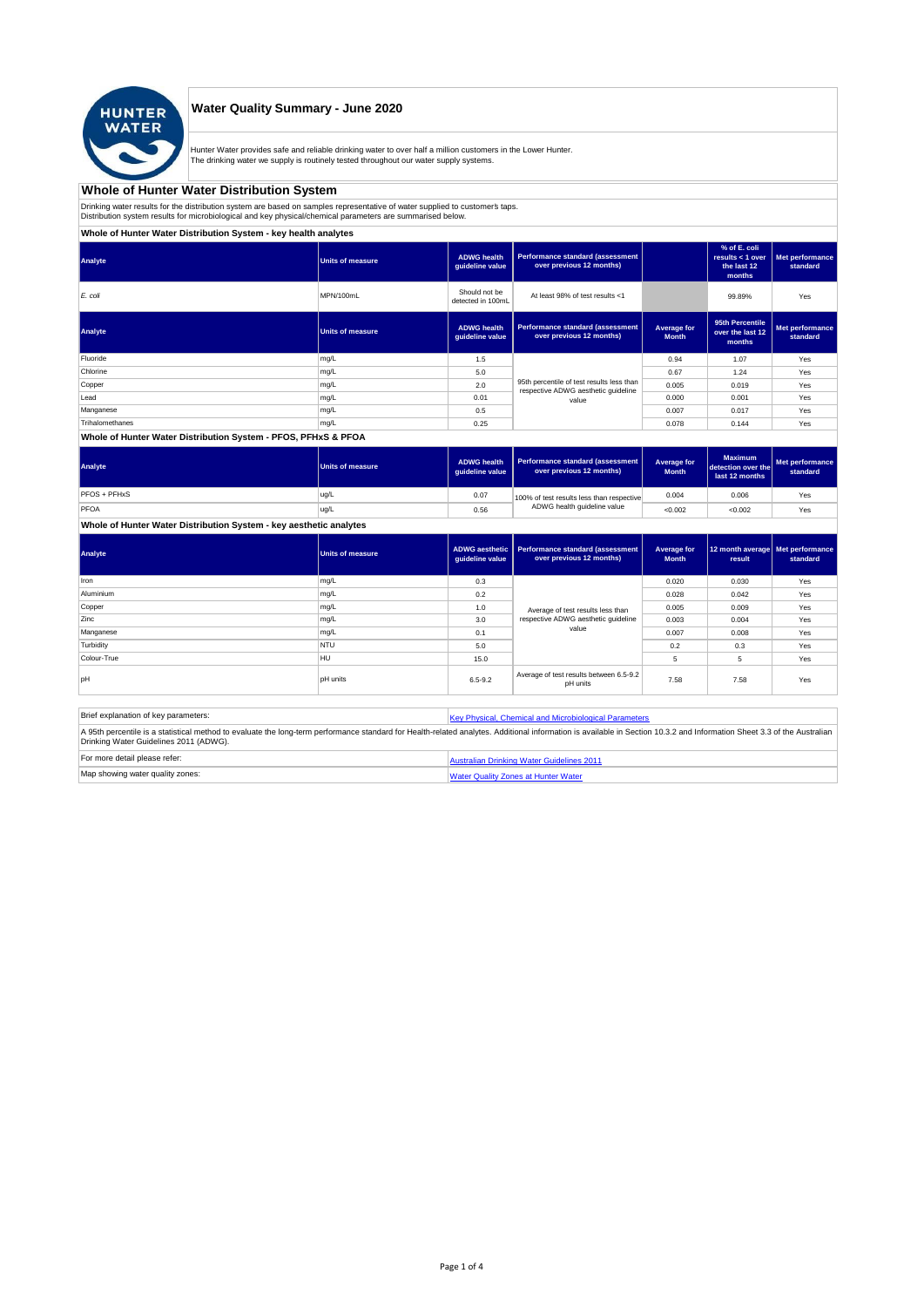

## **Water Quality Summary - June 2020**

Hunter Water provides safe and reliable drinking water to over half a million customers in the Lower Hunter. The drinking water we supply is routinely tested throughout our water supply systems.

# **Whole of Hunter Water Distribution System**

Drinking water results for the distribution system are based on samples representative of water supplied to customer' taps.<br>Distribution system results for microbiological and key physical/chemical parameters are summarise

**Whole of Hunter Water Distribution System - key health analytes**

| Analyte         | <b>Units of measure</b> | <b>ADWG</b> health<br>guideline value | Performance standard (assessment<br>over previous 12 months)                     |                             | % of E. coli<br>results $<$ 1 over<br>the last 12<br>months | Met performance<br>standard |
|-----------------|-------------------------|---------------------------------------|----------------------------------------------------------------------------------|-----------------------------|-------------------------------------------------------------|-----------------------------|
| E. coli         | MPN/100mL               | Should not be<br>detected in 100mL    | At least 98% of test results <1                                                  |                             | 99.89%                                                      | Yes                         |
| Analyte         | <b>Units of measure</b> | <b>ADWG</b> health<br>guideline value | <b>Performance standard (assessment</b><br>over previous 12 months)              | Average for<br><b>Month</b> | 95th Percentile<br>over the last 12<br>months               | Met performance<br>standard |
| Fluoride        | mg/L                    | 1.5                                   |                                                                                  | 0.94                        | 1.07                                                        | Yes                         |
| Chlorine        | mg/L                    | 5.0                                   |                                                                                  | 0.67                        | 1.24                                                        | Yes                         |
| Copper          | mg/L                    | 2.0                                   | 95th percentile of test results less than<br>respective ADWG aesthetic guideline | 0.005                       | 0.019                                                       | Yes                         |
| Lead            | mg/L                    | 0.01                                  | value                                                                            | 0.000                       | 0.001                                                       | Yes                         |
| Manganese       | mg/L                    | 0.5                                   |                                                                                  | 0.007                       | 0.017                                                       | Yes                         |
| Trihalomethanes | mg/L                    | 0.25                                  |                                                                                  | 0.078                       | 0.144                                                       | Yes                         |
|                 |                         |                                       |                                                                                  |                             |                                                             |                             |

#### **Whole of Hunter Water Distribution System - PFOS, PFHxS & PFOA**

| Analyte      | Units of measure | <b>ADWG health</b><br>quideline value | Performance standard (assessment<br>over previous 12 months) | Average for<br><b>Month</b> | <b>Maximum</b><br>detection over the<br>last 12 months | Met performance<br>standard |
|--------------|------------------|---------------------------------------|--------------------------------------------------------------|-----------------------------|--------------------------------------------------------|-----------------------------|
| PFOS + PFHxS | ug/L             | 0.07                                  | 100% of test results less than respective                    | 0.004                       | 0.006                                                  | Yes                         |
| PFOA         | ug/L             | 0.56                                  | ADWG health guideline value                                  | < 0.002                     | < 0.002                                                | Yes                         |

## **Whole of Hunter Water Distribution System - key aesthetic analytes**

| Analyte     | Units of measure | guideline value | ADWG aesthetic   Performance standard (assessment<br>over previous 12 months) | Average for<br><b>Month</b> | 12 month average   Met performance<br>result | standard |
|-------------|------------------|-----------------|-------------------------------------------------------------------------------|-----------------------------|----------------------------------------------|----------|
| Iron        | mg/L             | 0.3             |                                                                               | 0.020                       | 0.030                                        | Yes      |
| Aluminium   | mg/L             | 0.2             |                                                                               | 0.028                       | 0.042                                        | Yes      |
| Copper      | mg/L             | 1.0             | Average of test results less than                                             | 0.005                       | 0.009                                        | Yes      |
| Zinc        | mg/L             | 3.0             | respective ADWG aesthetic quideline                                           | 0.003                       | 0.004                                        | Yes      |
| Manganese   | mg/L             | 0.1             | value                                                                         | 0.007                       | 0.008                                        | Yes      |
| Turbidity   | <b>NTU</b>       | 5.0             |                                                                               | 0.2                         | 0.3                                          | Yes      |
| Colour-True | <b>HU</b>        | 15.0            |                                                                               | 5                           | 5                                            | Yes      |
| loH         | <b>pH</b> units  | $6.5 - 9.2$     | Average of test results between 6.5-9.2<br>pH units                           | 7.58                        | 7.58                                         | Yes      |

| Brief explanation of key parameters:   | Key Physical, Chemical and Microbiological Parameters                                                                                                                                                                   |
|----------------------------------------|-------------------------------------------------------------------------------------------------------------------------------------------------------------------------------------------------------------------------|
| Drinking Water Guidelines 2011 (ADWG). | A 95th percentile is a statistical method to evaluate the long-term performance standard for Health-related analytes. Additional information is available in Section 10.3.2 and Information Sheet 3.3 of the Australian |
| For more detail please refer:          | Australian Drinking Water Guidelines 2011                                                                                                                                                                               |
| Map showing water quality zones:       | <b>Water Quality Zones at Hunter Water</b>                                                                                                                                                                              |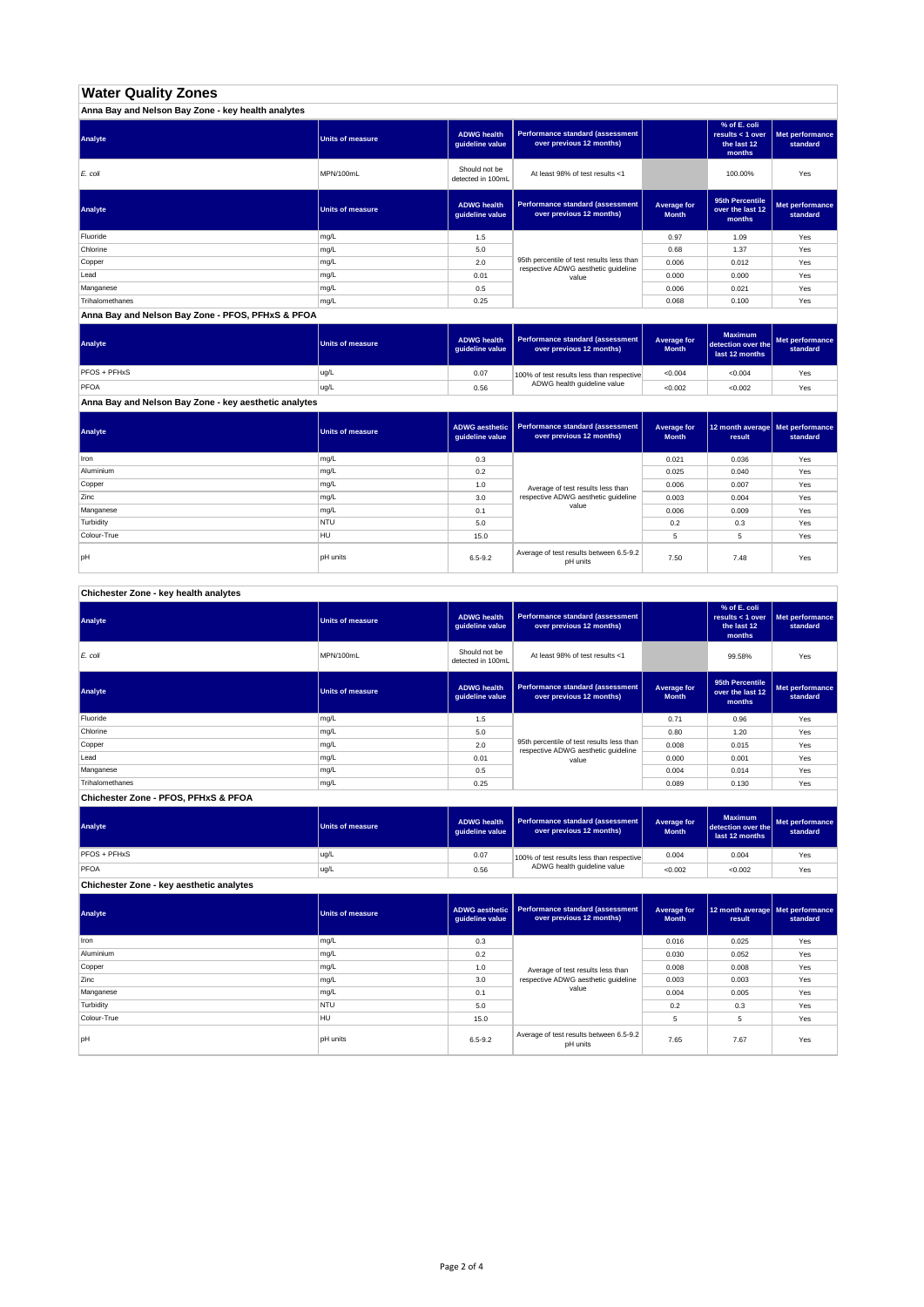## **Water Quality Zones**

| Anna Bay and Nelson Bay Zone - key health analytes |                  |                                       |                                                                                  |                             |                                                           |                             |
|----------------------------------------------------|------------------|---------------------------------------|----------------------------------------------------------------------------------|-----------------------------|-----------------------------------------------------------|-----------------------------|
| Analyte                                            | Units of measure | <b>ADWG health</b><br>guideline value | <b>Performance standard (assessment</b><br>over previous 12 months)              |                             | % of E. coli<br>results < 1 over<br>the last 12<br>months | Met performance<br>standard |
| E. coli                                            | MPN/100mL        | Should not be<br>detected in 100mL    | At least 98% of test results <1                                                  |                             | 100.00%                                                   | Yes                         |
| Analyte                                            | Units of measure | <b>ADWG health</b><br>guideline value | Performance standard (assessment<br>over previous 12 months)                     | Average for<br><b>Month</b> | 95th Percentile<br>over the last 12<br>months             | Met performance<br>standard |
| Fluoride                                           | mg/L             | 1.5                                   |                                                                                  | 0.97                        | 1.09                                                      | Yes                         |
| Chlorine                                           | mg/L             | 5.0                                   |                                                                                  | 0.68                        | 1.37                                                      | Yes                         |
| Copper                                             | mg/L             | 2.0                                   | 95th percentile of test results less than<br>respective ADWG aesthetic quideline | 0.006                       | 0.012                                                     | Yes                         |
| Lead                                               | mg/L             | 0.01                                  | value                                                                            | 0.000                       | 0.000                                                     | Yes                         |
| Manganese                                          | mg/L             | 0.5                                   |                                                                                  | 0.006                       | 0.021                                                     | Yes                         |
| Trihalomethanes                                    | mg/L             | 0.25                                  |                                                                                  | 0.068                       | 0.100                                                     | Yes                         |

**Anna Bay and Nelson Bay Zone - PFOS, PFHxS & PFOA**

| Analyte      | Units of measure | <b>ADWG health</b><br>quideline value | Performance standard (assessment<br>over previous 12 months) | <b>Average for</b><br><b>Month</b> | <b>Maximum</b><br>detection over the<br>last 12 months | Met performance<br>standard |
|--------------|------------------|---------------------------------------|--------------------------------------------------------------|------------------------------------|--------------------------------------------------------|-----------------------------|
| PFOS + PFHxS | ug/L             | 0.07                                  | 100% of test results less than respective                    | < 0.004                            | < 0.004                                                | Yes                         |
| PFOA         | ug/L             | 0.56                                  | ADWG health guideline value                                  | < 0.002                            | < 0.002                                                | Yes                         |

**Anna Bay and Nelson Bay Zone - key aesthetic analytes**

| Analyte     | Units of measure | ADWG aesthetic  <br>guideline value | Performance standard (assessment<br>over previous 12 months) | Average for<br><b>Month</b> | 12 month average   Met performance<br>result | standard |
|-------------|------------------|-------------------------------------|--------------------------------------------------------------|-----------------------------|----------------------------------------------|----------|
| Iron        | mg/L             | 0.3                                 |                                                              | 0.021                       | 0.036                                        | Yes      |
| Aluminium   | mg/L             | 0.2                                 |                                                              | 0.025                       | 0.040                                        | Yes      |
| Copper      | mg/L             | 1.0                                 | Average of test results less than                            | 0.006                       | 0.007                                        | Yes      |
| Zinc        | mg/L             | 3.0                                 | respective ADWG aesthetic quideline                          | 0.003                       | 0.004                                        | Yes      |
| Manganese   | mg/L             | 0.1                                 | value                                                        | 0.006                       | 0.009                                        | Yes      |
| Turbidity   | <b>NTU</b>       | 5.0                                 |                                                              | 0.2                         | 0.3                                          | Yes      |
| Colour-True | HU               | 15.0                                |                                                              |                             | 5                                            | Yes      |
| pH          | <b>pH</b> units  | $6.5 - 9.2$                         | Average of test results between 6.5-9.2<br>pH units          | 7.50                        | 7.48                                         | Yes      |

**Chichester Zone - key health analytes**

| Analyte         | <b>Units of measure</b> | <b>ADWG health</b><br>guideline value | Performance standard (assessment<br>over previous 12 months)                     |                             | % of E. coli<br>results $<$ 1 over<br>the last 12<br>months | Met performance<br>standard |
|-----------------|-------------------------|---------------------------------------|----------------------------------------------------------------------------------|-----------------------------|-------------------------------------------------------------|-----------------------------|
| E. coli         | MPN/100mL               | Should not be<br>detected in 100mL    | At least 98% of test results <1                                                  |                             | 99.58%                                                      | Yes                         |
| Analyte         | <b>Units of measure</b> | <b>ADWG health</b><br>guideline value | Performance standard (assessment<br>over previous 12 months)                     | Average for<br><b>Month</b> | 95th Percentile<br>over the last 12<br>months               | Met performance<br>standard |
| Fluoride        | mg/L                    | 1.5                                   |                                                                                  | 0.71                        | 0.96                                                        | Yes                         |
| Chlorine        | mg/L                    | 5.0                                   |                                                                                  | 0.80                        | 1.20                                                        | Yes                         |
| Copper          | mg/L                    | 2.0                                   | 95th percentile of test results less than<br>respective ADWG aesthetic quideline | 0.008                       | 0.015                                                       | Yes                         |
| Lead            | mg/L                    | 0.01                                  | value                                                                            | 0.000                       | 0.001                                                       | Yes                         |
| Manganese       | mg/L                    | 0.5                                   |                                                                                  | 0.004                       | 0.014                                                       | Yes                         |
| Trihalomethanes | mg/L                    | 0.25                                  |                                                                                  | 0.089                       | 0.130                                                       | Yes                         |

**Chichester Zone - PFOS, PFHxS & PFOA**

| Analyte                                  | Units of measure | <b>ADWG health</b><br>guideline value | <b>Performance standard (assessment</b><br>over previous 12 months) | Average for<br><b>Month</b> | <b>Maximum</b><br>detection over the<br>last 12 months | Met performance<br>standard |
|------------------------------------------|------------------|---------------------------------------|---------------------------------------------------------------------|-----------------------------|--------------------------------------------------------|-----------------------------|
| PFOS + PFHxS                             | ug/L             | 0.07                                  | 100% of test results less than respective                           | 0.004                       | 0.004                                                  | Yes                         |
| PFOA                                     | ug/L             | 0.56                                  | ADWG health guideline value                                         | < 0.002                     | < 0.002                                                | Yes                         |
| Chichester Zone - key aesthetic analytes |                  |                                       |                                                                     |                             |                                                        |                             |

| Analyte     | <b>Units of measure</b> | ADWG aesthetic<br>guideline value | <b>Performance standard (assessment</b><br>over previous 12 months) | Average for<br><b>Month</b> | 12 month average   Met performance<br>result | standard |
|-------------|-------------------------|-----------------------------------|---------------------------------------------------------------------|-----------------------------|----------------------------------------------|----------|
| Iron        | mg/L                    | 0.3                               |                                                                     | 0.016                       | 0.025                                        | Yes      |
| Aluminium   | mg/L                    | 0.2                               |                                                                     | 0.030                       | 0.052                                        | Yes      |
| Copper      | mg/L                    | 1.0                               | Average of test results less than                                   | 0.008                       | 0.008                                        | Yes      |
| Zinc        | mg/L                    | 3.0                               | respective ADWG aesthetic quideline                                 | 0.003                       | 0.003                                        | Yes      |
| Manganese   | mg/L                    | 0.1                               | value                                                               | 0.004                       | 0.005                                        | Yes      |
| Turbidity   | <b>NTU</b>              | 5.0                               |                                                                     | 0.2                         | 0.3                                          | Yes      |
| Colour-True | <b>HU</b>               | 15.0                              |                                                                     | 5                           | 5                                            | Yes      |
| pH          | pH units                | $6.5 - 9.2$                       | Average of test results between 6.5-9.2<br>pH units                 | 7.65                        | 7.67                                         | Yes      |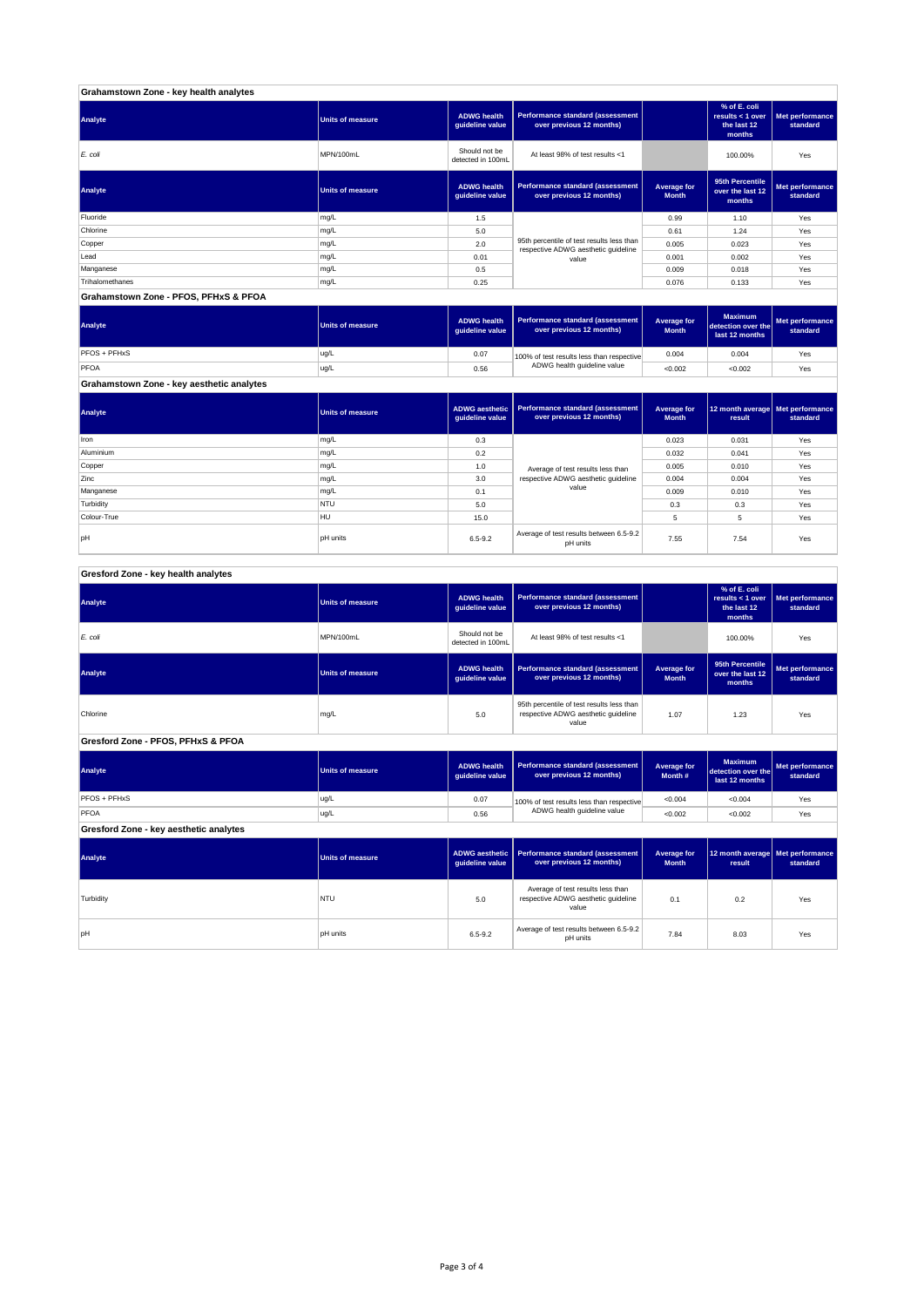| Grahamstown Zone - key health analytes |                         |                                       |                                                                                  |                             |                                                           |                             |
|----------------------------------------|-------------------------|---------------------------------------|----------------------------------------------------------------------------------|-----------------------------|-----------------------------------------------------------|-----------------------------|
| Analyte                                | <b>Units of measure</b> | <b>ADWG health</b><br>guideline value | Performance standard (assessment<br>over previous 12 months)                     |                             | % of E. coli<br>results < 1 over<br>the last 12<br>months | Met performance<br>standard |
| E. coli                                | MPN/100mL               | Should not be<br>detected in 100mL    | At least 98% of test results <1                                                  |                             | 100.00%                                                   | Yes                         |
| Analyte                                | <b>Units of measure</b> | <b>ADWG health</b><br>guideline value | <b>Performance standard (assessment</b><br>over previous 12 months)              | Average for<br><b>Month</b> | 95th Percentile<br>over the last 12<br>months             | Met performance<br>standard |
| Fluoride                               | mg/L                    | 1.5                                   |                                                                                  | 0.99                        | 1.10                                                      | Yes                         |
| Chlorine                               | mg/L                    | 5.0                                   |                                                                                  | 0.61                        | 1.24                                                      | Yes                         |
| Copper                                 | mg/L                    | 2.0                                   | 95th percentile of test results less than<br>respective ADWG aesthetic quideline | 0.005                       | 0.023                                                     | Yes                         |
| Lead                                   | mg/L                    | 0.01                                  | value                                                                            | 0.001                       | 0.002                                                     | Yes                         |
| Manganese                              | mg/L                    | 0.5                                   |                                                                                  | 0.009                       | 0.018                                                     | Yes                         |
| Trihalomethanes                        | mg/L                    | 0.25                                  |                                                                                  | 0.076                       | 0.133                                                     | Yes                         |
| Grahamstown Zone - PFOS, PFHxS & PFOA  |                         |                                       |                                                                                  |                             |                                                           |                             |

| Analyte                                   | <b>Units of measure</b> | <b>ADWG health</b><br>quideline value | Performance standard (assessment<br>over previous 12 months) | Average for<br><b>Month</b> | <b>Maximum</b><br>detection over the<br>last 12 months | Met performance<br>standard |
|-------------------------------------------|-------------------------|---------------------------------------|--------------------------------------------------------------|-----------------------------|--------------------------------------------------------|-----------------------------|
| PFOS + PFHxS                              | ug/L                    | 0.07                                  | 100% of test results less than respective                    | 0.004                       | 0.004                                                  | Yes                         |
| PFOA                                      | ug/L                    | 0.56                                  | ADWG health guideline value                                  | < 0.002                     | < 0.002                                                | Yes                         |
| Grahamstown Zone - key aesthetic analytes |                         |                                       |                                                              |                             |                                                        |                             |

**ADWG aesthetic** 

**Analyte Units of measure Performance standard (assessment** 

**Average for** 

| Analyte     | Units of measure | guideline value | ADWG aesthetic   Performance standard (assessment  <br>over previous 12 months) | Average for<br><b>Month</b> | 12 month average   Met performance<br>result | standard |
|-------------|------------------|-----------------|---------------------------------------------------------------------------------|-----------------------------|----------------------------------------------|----------|
| Iron        | mg/L             | 0.3             | 0.023                                                                           |                             | 0.031                                        | Yes      |
| Aluminium   | mg/L             | 0.2             |                                                                                 | 0.032                       | 0.041                                        | Yes      |
| Copper      | mg/L             | 1.0             | Average of test results less than<br>respective ADWG aesthetic quideline<br>3.0 |                             | 0.010                                        | Yes      |
| Zinc        | mg/L             |                 |                                                                                 |                             | 0.004                                        | Yes      |
| Manganese   | mg/L             | 0.1             | value                                                                           | 0.009                       | 0.010                                        | Yes      |
| Turbidity   | <b>NTU</b>       | 5.0             |                                                                                 | 0.3                         | 0.3                                          | Yes      |
| Colour-True | HU               | 15.0            |                                                                                 | 5                           | 5                                            | Yes      |
| pH          | <b>pH</b> units  | $6.5 - 9.2$     | Average of test results between 6.5-9.2<br>pH units                             | 7.55                        | 7.54                                         | Yes      |

| Gresford Zone - key health analytes |  |  |  |
|-------------------------------------|--|--|--|

| Analyte                                | <b>Units of measure</b> | <b>ADWG health</b><br>guideline value                              | Performance standard (assessment<br>over previous 12 months)                              |                                    | % of E. coli<br>results < 1 over<br>the last 12<br>months | Met performance<br>standard |
|----------------------------------------|-------------------------|--------------------------------------------------------------------|-------------------------------------------------------------------------------------------|------------------------------------|-----------------------------------------------------------|-----------------------------|
| E. coli                                | MPN/100mL               | Should not be<br>detected in 100mL                                 | At least 98% of test results <1                                                           |                                    | 100.00%                                                   | Yes                         |
| Analyte                                | <b>Units of measure</b> | <b>ADWG health</b><br>guideline value                              | Performance standard (assessment<br>over previous 12 months)                              | <b>Average for</b><br><b>Month</b> | 95th Percentile<br>over the last 12<br>months             | Met performance<br>standard |
| Chlorine                               | mg/L                    | 5.0                                                                | 95th percentile of test results less than<br>respective ADWG aesthetic quideline<br>value |                                    | 1.23                                                      | Yes                         |
| Gresford Zone - PFOS, PFHxS & PFOA     |                         |                                                                    |                                                                                           |                                    |                                                           |                             |
| Analyte                                | <b>Units of measure</b> | <b>ADWG</b> health<br>guideline value                              | Performance standard (assessment<br>Average for<br>over previous 12 months)<br>Month #    |                                    | <b>Maximum</b><br>detection over the<br>last 12 months    | Met performance<br>standard |
| PFOS + PFHxS                           | ug/L                    | 0.07                                                               | 100% of test results less than respective                                                 | < 0.004                            | < 0.004                                                   | Yes                         |
| PFOA                                   | ug/L                    | 0.56                                                               | ADWG health guideline value                                                               | < 0.002                            | < 0.002                                                   | Yes                         |
| Gresford Zone - key aesthetic analytes |                         |                                                                    |                                                                                           |                                    |                                                           |                             |
| Analyte                                | <b>Units of measure</b> | <b>ADWG</b> aesthetic<br>guideline value                           | Performance standard (assessment<br>over previous 12 months)                              | <b>Average for</b><br><b>Month</b> | 12 month average<br>result                                | Met performance<br>standard |
| Turbidity                              | <b>NTU</b>              | 5.0                                                                | Average of test results less than<br>respective ADWG aesthetic quideline<br>value         | 0.1                                | 0.2                                                       | Yes                         |
| pH                                     | <b>pH</b> units         | Average of test results between 6.5-9.2<br>$6.5 - 9.2$<br>pH units |                                                                                           | 7.84                               | 8.03                                                      | Yes                         |